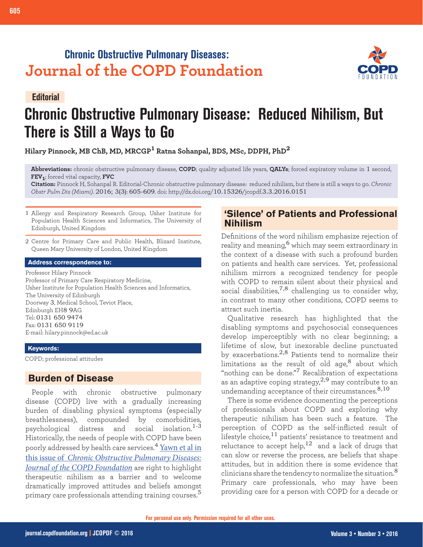# **Chronic Obstructive Pulmonary Diseases: Journal of the COPD Foundation**



# **Chronic Obstructive Pulmonary Disease: Reduced Nihilism, But There is Still a Ways to Go Editorial**

**Hilary Pinnock, MB ChB, MD, MRCGP1 Ratna Sohanpal, BDS, MSc, DDPH, PhD<sup>2</sup>**

**Abbreviations:** chronic obstructive pulmonary disease, **COPD**; quality adjusted life years, **QALYs**; forced expiratory volume in 1 second, **FEV1**; forced vital capacity, **FVC**

**Citation:** Pinnock H, Sohanpal R. Editorial-Chronic obstructive pulmonary disease: reduced nihilism, but there is still a ways to go. *Chronic Obstr Pulm Dis (Miami)*. 2016; 3(3): 605-609. doi: http://dx.doi.org/10.15326/jcopdf.3.3.2016.0151

- 1 Allergy and Respiratory Research Group, Usher Institute for Population Health Sciences and Informatics, The University of Edinburgh, United Kingdom
- 2 Centre for Primary Care and Public Health, Blizard Institute, Queen Mary University of London, United Kingdom

#### **Address correspondence to:**

Professor Hilary Pinnock Professor of Primary Care Respiratory Medicine, Usher Institute for Population Health Sciences and Informatics, The University of Edinburgh Doorway 3, Medical School, Teviot Place, Edinburgh EH8 9AG Tel: 0131 650 9474 Fax: 0131 650 9119 E-mail: hilary.pinnock@ed.ac.uk

#### **Keywords:**

COPD; professional attitudes

### **Burden of Disease**

People with chronic obstructive pulmonary disease (COPD) live with a gradually increasing burden of disabling physical symptoms (especially breathlessness), compounded by comorbidities, psychological distress and social isolation.1-3 Historically, the needs of people with COPD have been poorly addressed by health care services.<sup>4</sup> [Yawn et al in](http://journal.copdfoundation.org/jcopdf/id/1111/Primary-Care-Physicians-Nurse-Practitioners-and-Physician-Assistants-Knowledge-Attitudes-and-Beliefs-Regarding-COPD-2007-To-2014)  this issue of *[Chronic Obstructive Pulmonary Diseases:](http://journal.copdfoundation.org/jcopdf/id/1111/Primary-Care-Physicians-Nurse-Practitioners-and-Physician-Assistants-Knowledge-Attitudes-and-Beliefs-Regarding-COPD-2007-To-2014)  [Journal of the COPD Foundation](http://journal.copdfoundation.org/jcopdf/id/1111/Primary-Care-Physicians-Nurse-Practitioners-and-Physician-Assistants-Knowledge-Attitudes-and-Beliefs-Regarding-COPD-2007-To-2014)* are right to highlight therapeutic nihilism as a barrier and to welcome dramatically improved attitudes and beliefs amongst primary care professionals attending training courses.<sup>5</sup>

# **'Silence' of Patients and Professional Nihilism**

Definitions of the word nihilism emphasize rejection of reality and meaning,6 which may seem extraordinary in the context of a disease with such a profound burden on patients and health care services. Yet, professional nihilism mirrors a recognized tendency for people with COPD to remain silent about their physical and social disabilities,<sup>7,8</sup> challenging us to consider why, in contrast to many other conditions, COPD seems to attract such inertia.

Qualitative research has highlighted that the disabling symptoms and psychosocial consequences develop imperceptibly with no clear beginning; a lifetime of slow, but inexorable decline punctuated by exacerbations. $^{2,8}$  Patients tend to normalize their limitations as the result of old age, $^8$  about which "nothing can be done."7 Recalibration of expectations as an adaptive coping strategy,  $2.9$  may contribute to an undemanding acceptance of their circumstances. 8,10

There is some evidence documenting the perceptions of professionals about COPD and exploring why therapeutic nihilism has been such a feature. The perception of COPD as the self-inflicted result of lifestyle choice,<sup>11</sup> patients' resistance to treatment and reluctance to accept help,  $12$  and a lack of drugs that can slow or reverse the process, are beliefs that shape attitudes, but in addition there is some evidence that clinicians share the tendency to normalize the situation. $^8$ Primary care professionals, who may have been providing care for a person with COPD for a decade or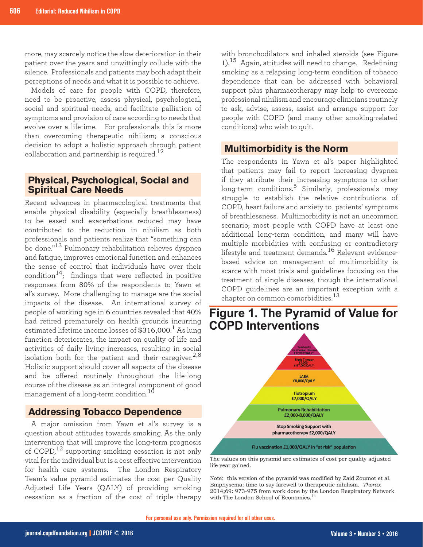more, may scarcely notice the slow deterioration in their patient over the years and unwittingly collude with the silence. Professionals and patients may both adapt their perceptions of needs and what it is possible to achieve.

Models of care for people with COPD, therefore, need to be proactive, assess physical, psychological, social and spiritual needs, and facilitate palliation of symptoms and provision of care according to needs that evolve over a lifetime. For professionals this is more than overcoming therapeutic nihilism; a conscious decision to adopt a holistic approach through patient collaboration and partnership is required.<sup>12</sup>

# **Physical, Psychological, Social and Spiritual Care Needs**

Recent advances in pharmacological treatments that enable physical disability (especially breathlessness) to be eased and exacerbations reduced may have contributed to the reduction in nihilism as both professionals and patients realize that "something can be done."13 Pulmonary rehabilitation relieves dyspnea and fatigue, improves emotional function and enhances the sense of control that individuals have over their condition<sup>14</sup>; findings that were reflected in positive responses from 80% of the respondents to Yawn et al's survey. More challenging to manage are the social impacts of the disease. An international survey of people of working age in 6 countries revealed that 40% had retired prematurely on health grounds incurring estimated lifetime income losses of  $\$316,\!000.^1$  As lung function deteriorates, the impact on quality of life and activities of daily living increases, resulting in social isolation both for the patient and their caregiver.<sup>2,8</sup> Holistic support should cover all aspects of the disease and be offered routinely throughout the life-long course of the disease as an integral component of good management of a long-term condition.<sup>10</sup>

# **Addressing Tobacco Dependence**

A major omission from Yawn et al's survey is a question about attitudes towards smoking. As the only intervention that will improve the long-term prognosis of COPD,<sup>12</sup> supporting smoking cessation is not only vital for the individual but is a cost effective intervention for health care systems. The London Respiratory Team's value pyramid estimates the cost per Quality Adjusted Life Years (QALY) of providing smoking cessation as a fraction of the cost of triple therapy

with bronchodilators and inhaled steroids (see Figure  $1$ ).<sup>15</sup> Again, attitudes will need to change. Redefining smoking as a relapsing long-term condition of tobacco dependence that can be addressed with behavioral support plus pharmacotherapy may help to overcome professional nihilism and encourage clinicians routinely to ask, advise, assess, assist and arrange support for people with COPD (and many other smoking-related conditions) who wish to quit.

# **Multimorbidity is the Norm**

The respondents in Yawn et al's paper highlighted that patients may fail to report increasing dyspnea if they attribute their increasing symptoms to other long-term conditions.<sup>5</sup> Similarly, professionals may struggle to establish the relative contributions of COPD, heart failure and anxiety to patients' symptoms of breathlessness. Multimorbidity is not an uncommon scenario; most people with COPD have at least one additional long-term condition, and many will have multiple morbidities with confusing or contradictory lifestyle and treatment demands.<sup>16</sup> Relevant evidencebased advice on management of multimorbidity is scarce with most trials and guidelines focusing on the treatment of single diseases, though the international COPD guidelines are an important exception with a chapter on common comorbidities.<sup>13</sup>



**Figure 1. The Pyramid of Value for** 

The values on this pyramid are estimates of cost per quality adjusted life year gained.

Note: this version of the pyramid was modified by Zaid Zoumot et al. Emphysema: time to say farewell to therapeutic nihilism. Thorax 2014;69: 973-975 from work done by the London Respiratory Network with The London School of Economics.<sup>1</sup>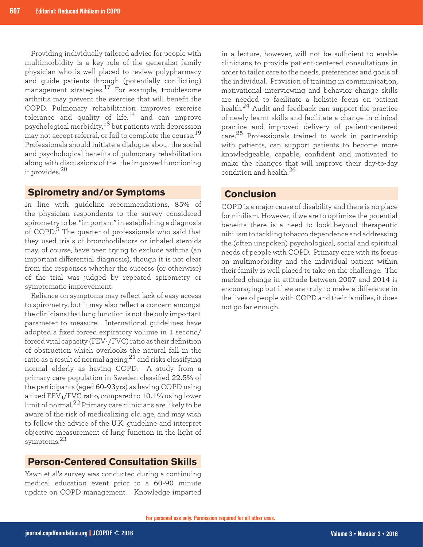Providing individually tailored advice for people with multimorbidity is a key role of the generalist family physician who is well placed to review polypharmacy and guide patients through (potentially conflicting) management strategies.<sup>17</sup> For example, troublesome arthritis may prevent the exercise that will benefit the COPD. Pulmonary rehabilitation improves exercise tolerance and quality of life, $14$  and can improve psychological morbidity,<sup>18</sup> but patients with depression may not accept referral, or fail to complete the course.<sup>19</sup> Professionals should initiate a dialogue about the social and psychological benefits of pulmonary rehabilitation along with discussions of the the improved functioning it provides.<sup>20</sup>

### **Spirometry and/or Symptoms**

In line with guideline recommendations, 85% of the physician respondents to the survey considered spirometry to be "important" in establishing a diagnosis of COPD.<sup>5</sup> The quarter of professionals who said that they used trials of bronchodilators or inhaled steroids may, of course, have been trying to exclude asthma (an important differential diagnosis), though it is not clear from the responses whether the success (or otherwise) of the trial was judged by repeated spirometry or symptomatic improvement.

Reliance on symptoms may reflect lack of easy access to spirometry, but it may also reflect a concern amongst the clinicians that lung function is not the only important parameter to measure. International guidelines have adopted a fixed forced expiratory volume in 1 second/ forced vital capacity (FEV1/FVC) ratio as their definition of obstruction which overlooks the natural fall in the ratio as a result of normal ageing, $^{21}$  and risks classifying normal elderly as having COPD. A study from a primary care population in Sweden classified 22.5% of the participants (aged 60-93yrs) as having COPD using a fixed FEV1/FVC ratio, compared to 10.1% using lower limit of normal.22 Primary care clinicians are likely to be aware of the risk of medicalizing old age, and may wish to follow the advice of the U.K. guideline and interpret objective measurement of lung function in the light of symptoms.<sup>23</sup>

# **Person-Centered Consultation Skills**

Yawn et al's survey was conducted during a continuing medical education event prior to a 60-90 minute update on COPD management. Knowledge imparted

in a lecture, however, will not be sufficient to enable clinicians to provide patient-centered consultations in order to tailor care to the needs, preferences and goals of the individual. Provision of training in communication, motivational interviewing and behavior change skills are needed to facilitate a holistic focus on patient health.24 Audit and feedback can support the practice of newly learnt skills and facilitate a change in clinical practice and improved delivery of patient-centered care.25 Professionals trained to work in partnership with patients, can support patients to become more knowledgeable, capable, confident and motivated to make the changes that will improve their day-to-day condition and health 26

## **Conclusion**

COPD is a major cause of disability and there is no place for nihilism. However, if we are to optimize the potential benefits there is a need to look beyond therapeutic nihilism to tackling tobacco dependence and addressing the (often unspoken) psychological, social and spiritual needs of people with COPD. Primary care with its focus on multimorbidity and the individual patient within their family is well placed to take on the challenge. The marked change in attitude between 2007 and 2014 is encouraging: but if we are truly to make a difference in the lives of people with COPD and their families, it does not go far enough.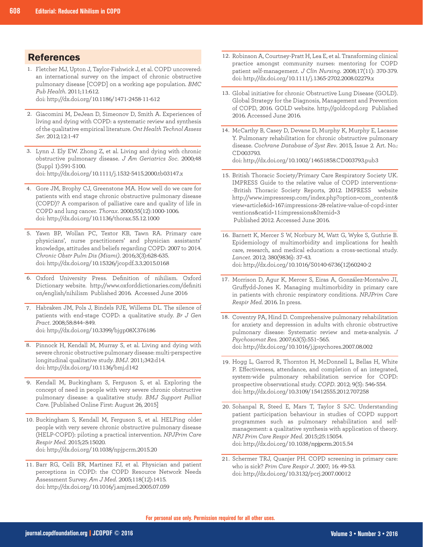## **References**

- 1. Fletcher MJ, Upton J, Taylor-Fishwick J, et al. COPD uncovered: an international survey on the impact of chronic obstructive pulmonary disease [COPD] on a working age population. *BMC Pub Health*. 2011;11:612. doi: http://dx.doi.org/10.1186/1471-2458-11-612
- 2. Giacomini M, DeJean D, Simeonov D, Smith A. Experiences of living and dying with COPD: a systematic review and synthesis of the qualitative empirical literature. *Ont Health Technol Assess Ser.* 2012;12:1-47
- Lynn J. Ely EW. Zhong Z, et al. Living and dying with chronic 3. obstructive pulmonary disease. *J Am Geriatrics Soc*. 2000;48 (Suppl 1):S91-S100. doi: http://dx.doi.org/10.1111/j.1532-5415.2000.tb03147.x
- 4. Gore JM, Brophy CJ, Greenstone MA. How well do we care for patients with end stage chronic obstructive pulmonary disease (COPD)? A comparison of palliative care and quality of life in COPD and lung cancer. *Thorax*. 2000;55(12):1000-1006. doi: http://dx.doi.org/10.1136/thorax.55.12.1000
- 5. Yawn BP, Wollan PC, Textor KB, Tawn RA. Primary care physicians', nurse practitioners' and physician assistants' knowledge, attitudes and beliefs regarding COPD: 2007 to 2014. *Chronic Obstr Pulm Dis (Miami)*. 2016;3(3):628-635. doi: http://dx.doi.org/10.15326/jcopdf.3.3.2015.0168
- Oxford University Press. Definition of nihilism. Oxford 6. Dictionary website. http://www.oxforddictionaries.com/definiti on/english/nihilism Published 2016. Accessed June 2016
- 7. Habraken JM, Pols J, Bindels PJE, Willems DL. The silence of patients with end-stage COPD: a qualitative study. *Br J Gen Pract*. 2008;58:844–849. doi: http://dx.doi.org/10.3399/bjgp08X376186
- 8. Pinnock H, Kendall M, Murray S, et al. Living and dying with severe chronic obstructive pulmonary disease: multi-perspective longitudinal qualitative study. *BMJ*. 2011;342:d14. doi: http://dx.doi.org/10.1136/bmj.d142
- 9. Kendall M, Buckingham S, Ferguson S, et al. Exploring the concept of need in people with very severe chronic obstructive pulmonary disease: a qualitative study. *BMJ Support Palliat Care.* [Published Online First: August 26, 2015]
- 10. Buckingham S, Kendall M, Ferguson S, et al. HELPing older people with very severe chronic obstructive pulmonary disease (HELP-COPD): piloting a practical intervention. *NPJPrim Care Respir Med*. 2015;25:15020. doi: http://dx.doi.org/10.1038/npjpcrm.2015.20
- 11. Barr RG, Celli BR, Martinez FJ, et al. Physician and patient perceptions in COPD: the COPD Resource Network Needs Assessment Survey. *Am J Med*. 2005;118(12):1415. doi: http://dx.doi.org/10.1016/j.amjmed.2005.07.059
- 12. Robinson A, Courtney-Pratt H, Lea E, et al. Transforming clinical practice amongst community nurses: mentoring for COPD patient self-management. *J Clin Nursing*. 2008;17(11): 370-379. doi: http://dx.doi.org/10.1111/j.1365-2702.2008.02279.x
- 13. Global initiative for chronic Obstructive Lung Disease (GOLD). Global Strategy for the Diagnosis, Management and Prevention of COPD, 2016. GOLD website. http://goldcopd.org Published 2016. Accessed June 2016.
- 14. McCarthy B, Casey D, Devane D, Murphy K, Murphy E, Lacasse Y. Pulmonary rehabilitation for chronic obstructive pulmonary disease. *Cochrane Database of Syst Rev*. 2015, Issue 2. Art. No.: CD003793.

doi: http://dx.doi.org/10.1002/14651858.CD003793.pub3

- 15. British Thoracic Society/Primary Care Respiratory Society UK. IMPRESS Guide to the relative value of COPD interventions- -British Thoracic Society Reports, 2012. IMPRESS website http://www.impressresp.com/index.php?option=com\_content& view=article&id=167:impressions-28-relative-value-of-copd-inter ventions&catid=11:impressions&Itemid=3 Published 2012. Accessed June 2016.
- 16. Barnett K, Mercer S W, Norbury M, Watt G, Wyke S, Guthrie B. Epidemiology of multimorbidity and implications for health care, research, and medical education: a cross-sectional study. *Lancet*. 2012; 380(9836): 37-43. doi: http://dx.doi.org/10.1016/S0140-6736(12)60240-2
- 17. Morrison D, Agur K, Mercer S, Eiras A, González-Montalvo JI, Gruffydd-Jones K. Managing multimorbidity in primary care in patients with chronic respiratory conditions. *NPJPrim Care Respir Med*. 2016. In press.
- 18. Coventry PA, Hind D. Comprehensive pulmonary rehabilitation for anxiety and depression in adults with chronic obstructive pulmonary disease: Systematic review and meta-analysis. *J Psychosomat Res*. 2007;63(5):551–565. doi: http://dx.doi.org/10.1016/j.jpsychores.2007.08.002
- 19. Hogg L, Garrod R, Thornton H, McDonnell L, Bellas H, White P. Effectiveness, attendance, and completion of an integrated, system-wide pulmonary rehabilitation service for COPD: prospective observational study. *COPD*. 2012; 9(5): 546-554. doi: http://dx.doi.org/10.3109/15412555.2012.707258
- 20. Sohanpal R, Steed E, Mars T, Taylor S SJC. Understanding patient participation behaviour in studies of COPD support programmes such as pulmonary rehabilitation and selfmanagement: a qualitative synthesis with application of theory. *NPJ Prim Care Respir Med*. 2015;25:15054. doi: http://dx.doi.org/10.1038/npjpcrm.2015.54
- 21. Schermer TRJ, Quanjer PH. COPD screening in primary care: who is sick? *Prim Care Respir J*. 2007; 16: 49-53. doi: http://dx.doi.org/10.3132/pcrj.2007.00012